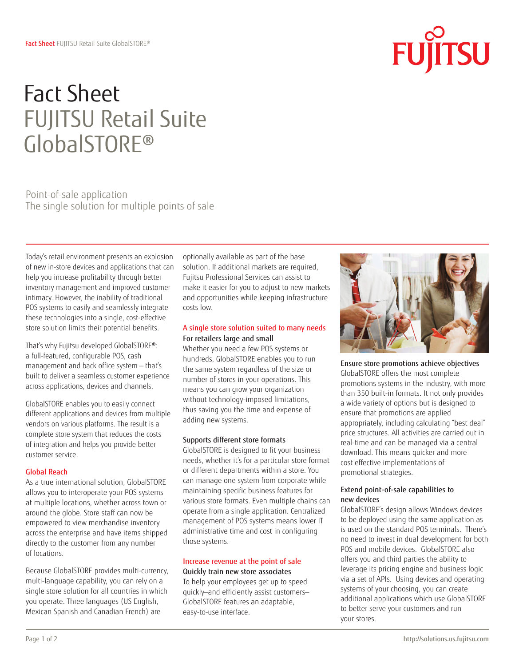# Fact Sheet FUJITSU Retail Suite GlobalSTORE®

Point-of-sale application The single solution for multiple points of sale

Today's retail environment presents an explosion of new in-store devices and applications that can help you increase profitability through better inventory management and improved customer intimacy. However, the inability of traditional POS systems to easily and seamlessly integrate these technologies into a single, cost-effective store solution limits their potential benefits.

That's why Fujitsu developed GlobalSTORE®: a full-featured, configurable POS, cash management and back office system — that's built to deliver a seamless customer experience across applications, devices and channels.

GlobalSTORE enables you to easily connect different applications and devices from multiple vendors on various platforms. The result is a complete store system that reduces the costs of integration and helps you provide better customer service.

# Global Reach

As a true international solution, GlobalSTORE allows you to interoperate your POS systems at multiple locations, whether across town or around the globe. Store staff can now be empowered to view merchandise inventory across the enterprise and have items shipped directly to the customer from any number of locations.

Because GlobalSTORE provides multi-currency, multi-language capability, you can rely on a single store solution for all countries in which you operate. Three languages (US English, Mexican Spanish and Canadian French) are

optionally available as part of the base solution. If additional markets are required, Fujitsu Professional Services can assist to make it easier for you to adjust to new markets and opportunities while keeping infrastructure costs low.

# A single store solution suited to many needs For retailers large and small

Whether you need a few POS systems or hundreds, GlobalSTORE enables you to run the same system regardless of the size or number of stores in your operations. This means you can grow your organization without technology-imposed limitations, thus saving you the time and expense of adding new systems.

# Supports different store formats

GlobalSTORE is designed to fit your business needs, whether it's for a particular store format or different departments within a store. You can manage one system from corporate while maintaining specific business features for various store formats. Even multiple chains can operate from a single application. Centralized management of POS systems means lower IT administrative time and cost in configuring those systems.

#### Increase revenue at the point of sale Quickly train new store associates

To help your employees get up to speed quickly—and efficiently assist customers— GlobalSTORE features an adaptable, easy-to-use interface.



FU

**TSU** 

Ensure store promotions achieve objectives GlobalSTORE offers the most complete promotions systems in the industry, with more than 350 built-in formats. It not only provides a wide variety of options but is designed to ensure that promotions are applied appropriately, including calculating "best deal" price structures. All activities are carried out in real-time and can be managed via a central download. This means quicker and more cost effective implementations of promotional strategies.

#### Extend point-of-sale capabilities to new devices

GlobalSTORE's design allows Windows devices to be deployed using the same application as is used on the standard POS terminals. There's no need to invest in dual development for both POS and mobile devices. GlobalSTORE also offers you and third parties the ability to leverage its pricing engine and business logic via a set of APIs. Using devices and operating systems of your choosing, you can create additional applications which use GlobalSTORE to better serve your customers and run your stores.